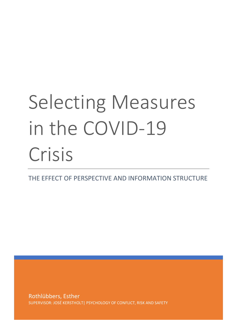# Selecting Measures in the COVID-19 Crisis

THE EFFECT OF PERSPECTIVE AND INFORMATION STRUCTURE

Rothlübbers, Esther SUPERVISOR: JOSÉ KERSTHOLT| PSYCHOLOGY OF CONFLICT, RISK AND SAFETY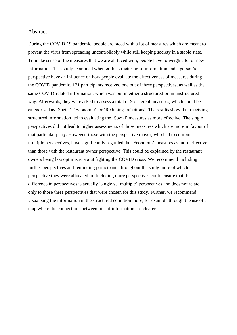#### Abstract

During the COVID-19 pandemic, people are faced with a lot of measures which are meant to prevent the virus from spreading uncontrollably while still keeping society in a stable state. To make sense of the measures that we are all faced with, people have to weigh a lot of new information. This study examined whether the structuring of information and a person's perspective have an influence on how people evaluate the effectiveness of measures during the COVID pandemic. 121 participants received one out of three perspectives, as well as the same COVID-related information, which was put in either a structured or an unstructured way. Afterwards, they were asked to assess a total of 9 different measures, which could be categorised as 'Social', 'Economic', or 'Reducing Infections'. The results show that receiving structured information led to evaluating the 'Social' measures as more effective. The single perspectives did not lead to higher assessments of those measures which are more in favour of that particular party. However, those with the perspective mayor, who had to combine multiple perspectives, have significantly regarded the 'Economic' measures as more effective than those with the restaurant owner perspective. This could be explained by the restaurant owners being less optimistic about fighting the COVID crisis. We recommend including further perspectives and reminding participants throughout the study more of which perspective they were allocated to. Including more perspectives could ensure that the difference in perspectives is actually 'single vs. multiple' perspectives and does not relate only to those three perspectives that were chosen for this study. Further, we recommend visualising the information in the structured condition more, for example through the use of a map where the connections between bits of information are clearer.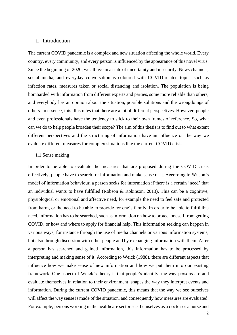#### 1. Introduction

The current COVID pandemic is a complex and new situation affecting the whole world. Every country, every community, and every person isinfluenced by the appearance of this novel virus. Since the beginning of 2020, we all live in a state of uncertainty and insecurity. News channels, social media, and everyday conversation is coloured with COVID-related topics such as infection rates, measures taken or social distancing and isolation. The population is being bombarded with information from different experts and parties, some more reliable than others, and everybody has an opinion about the situation, possible solutions and the wrongdoings of others. In essence, this illustrates that there are a lot of different perspectives. However, people and even professionals have the tendency to stick to their own frames of reference. So, what can we do to help people broaden their scope? The aim of this thesis is to find out to what extent different perspectives and the structuring of information have an influence on the way we evaluate different measures for complex situations like the current COVID crisis.

#### 1.1 Sense making

In order to be able to evaluate the measures that are proposed during the COVID crisis effectively, people have to search for information and make sense of it. According to Wilson's model of information behaviour, a person seeks for information if there is a certain 'need' that an individual wants to have fulfilled (Robson & Robinson, 2013). This can be a cognitive, physiological or emotional and affective need, for example the need to feel safe and protected from harm, or the need to be able to provide for one's family. In order to be able to fulfil this need, information has to be searched, such as information on how to protect oneself from getting COVID, or how and where to apply for financial help. This information seeking can happen in various ways, for instance through the use of media channels or various information systems, but also through discussion with other people and by exchanging information with them. After a person has searched and gained information, this information has to be processed by interpreting and making sense of it. According to Weick (1988), there are different aspects that influence how we make sense of new information and how we put them into our existing framework. One aspect of Weick's theory is that people's identity, the way persons are and evaluate themselves in relation to their environment, shapes the way they interpret events and information. During the current COVID pandemic, this means that the way we see ourselves will affect the way sense is made of the situation, and consequently how measures are evaluated. For example, persons working in the healthcare sector see themselves as a doctor or a nurse and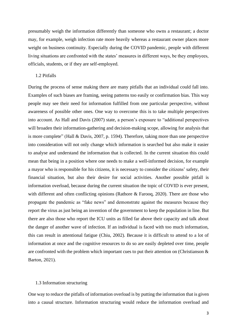presumably weigh the information differently than someone who owns a restaurant; a doctor may, for example, weigh infection rate more heavily whereas a restaurant owner places more weight on business continuity. Especially during the COVID pandemic, people with different living situations are confronted with the states' measures in different ways, be they employees, officials, students, or if they are self-employed.

#### 1.2 Pitfalls

During the process of sense making there are many pitfalls that an individual could fall into. Examples of such biases are framing, seeing patterns too easily or confirmation bias. This way people may see their need for information fulfilled from one particular perspective, without awareness of possible other ones. One way to overcome this is to take multiple perspectives into account. As Hall and Davis (2007) state, a person's exposure to "additional perspectives will broaden their information-gathering and decision-making scope, allowing for analysis that is more complete" (Hall & Davis, 2007, p. 1594). Therefore, taking more than one perspective into consideration will not only change which information is searched but also make it easier to analyse and understand the information that is collected. In the current situation this could mean that being in a position where one needs to make a well-informed decision, for example a mayor who is responsible for his citizens, it is necessary to consider the citizens' safety, their financial situation, but also their desire for social activities. Another possible pitfall is information overload, because during the current situation the topic of COVID is ever present, with different and often conflicting opinions (Rathore & Farooq, 2020). There are those who propagate the pandemic as "fake news" and demonstrate against the measures because they report the virus as just being an invention of the government to keep the population in line. But there are also those who report the ICU units as filled far above their capacity and talk about the danger of another wave of infection. If an individual is faced with too much information, this can result in attentional fatigue (Chiu, 2002). Because it is difficult to attend to a lot of information at once and the cognitive resources to do so are easily depleted over time, people are confronted with the problem which important cues to put their attention on (Christianson  $\&$ Barton, 2021).

#### 1.3 Information structuring

One way to reduce the pitfalls of information overload is by putting the information that is given into a causal structure. Information structuring would reduce the information overload and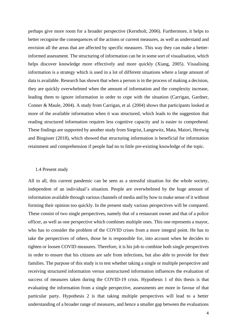perhaps give more room for a broader perspective (Kerstholt, 2006). Furthermore, it helps to better recognise the consequences of the actions or current measures, as well as understand and envision all the areas that are affected by specific measures. This way they can make a betterinformed assessment. The structuring of information can be in some sort of visualisation, which helps discover knowledge more effectively and more quickly (Xiang, 2005). Visualising information is a strategy which is used in a lot of different situations where a large amount of data is available. Research has shown that when a person is in the process of making a decision, they are quickly overwhelmed when the amount of information and the complexity increase, leading them to ignore information in order to cope with the situation (Carrigan, Gardner, Conner & Maule, 2004). A study from Carrigan, et al. (2004) shows that participants looked at more of the available information when it was structured, which leads to the suggestion that reading structured information requires less cognitive capacity and is easier to comprehend. These findings are supported by another study from Siegrist, Langewitz, Mata, Maiori, Hertwig and Bingisser (2018), which showed that structuring information is beneficial for information retainment and comprehension if people had no to little pre-existing knowledge of the topic.

#### 1.4 Present study

All in all, this current pandemic can be seen as a stressful situation for the whole society, independent of an individual's situation. People are overwhelmed by the huge amount of information available through various channels of media and by how to make sense of it without forming their opinion too quickly. In the present study various perspectives will be compared. These consist of two single perspectives, namely that of a restaurant owner and that of a police officer, as well as one perspective which combines multiple ones. This one represents a mayor, who has to consider the problem of the COVID crises from a more integral point. He has to take the perspectives of others, those he is responsible for, into account when he decides to tighten or loosen COVID measures. Therefore, it is his job to combine both single perspectives in order to ensure that his citizens are safe from infections, but also able to provide for their families. The purpose of this study is to test whether taking a single or multiple perspective and receiving structured information versus unstructured information influences the evaluation of success of measures taken during the COVID-19 crisis. Hypothesis 1 of this thesis is that evaluating the information from a single perspective, assessments are more in favour of that particular party. Hypothesis 2 is that taking multiple perspectives will lead to a better understanding of a broader range of measures, and hence a smaller gap between the evaluations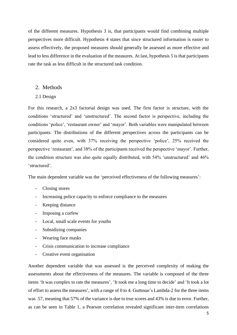of the different measures. Hypothesis 3 is, that participants would find combining multiple perspectives more difficult. Hypothesis 4 states that since structured information is easier to assess effectively, the proposed measures should generally be assessed as more effective and lead to less difference in the evaluation of the measures. At last, hypothesis 5 is that participants rate the task as less difficult in the structured task condition.

#### 2. Methods

2.1 Design

For this research, a 2x3 factorial design was used. The first factor is structure, with the conditions 'structured' and 'unstructured'. The second factor is perspective, including the conditions 'police', 'restaurant owner' and 'mayor'. Both variables were manipulated between participants. The distributions of the different perspectives across the participants can be considered quite even, with 37% receiving the perspective 'police', 25% received the perspective 'restaurant', and 38% of the participants received the perspective 'mayor'. Further, the condition structure was also quite equally distributed, with 54% 'unstructured' and 46% 'structured'.

The main dependent variable was the 'perceived effectiveness of the following measures':

- Closing stores
- Increasing police capacity to enforce compliance to the measures
- Keeping distance
- Imposing a curfew
- Local, small scale events for youths
- Subsidizing companies
- Wearing face masks
- Crisis communication to increase compliance
- Creative event organisation

Another dependent variable that was assessed is the perceived complexity of making the assessments about the effectiveness of the measures. The variable is composed of the three items 'It was complex to rate the measures', 'It took me a long time to decide' and 'It took a lot of effort to assess the measures', with a range of 0 to 4. Guttman's Lambda-2 for the three items was .57, meaning that 57% of the variance is due to true scores and 43% is due to error. Further, as can be seen in Table 1, a Pearson correlation revealed significant inter-item correlations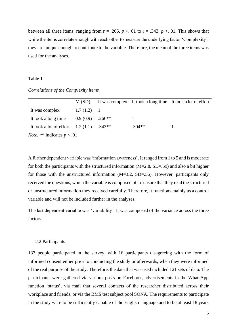between all three items, ranging from  $r = .266$ ,  $p < .01$  to  $r = .343$ ,  $p < .01$ . This shows that while the items correlate enough with each other to measure the underlying factor 'Complexity', they are unique enough to contribute to the variable. Therefore, the mean of the three items was used for the analyses.

#### Table 1

#### *Correlations of the Complexity items*

|                                                                                                                                     | M(SD)        |          |          | It was complex It took a long time It took a lot of effort |
|-------------------------------------------------------------------------------------------------------------------------------------|--------------|----------|----------|------------------------------------------------------------|
| It was complex                                                                                                                      | $1.7(1.2)$ 1 |          |          |                                                            |
| It took a long time                                                                                                                 | 0.9(0.9)     | $.266**$ |          |                                                            |
| It took a lot of effort $1.2(1.1)$                                                                                                  |              | $.343**$ | $.304**$ |                                                            |
| $\mathbf{r}$ and $\mathbf{r}$ and $\mathbf{r}$ and $\mathbf{r}$ and $\mathbf{r}$ and $\mathbf{r}$ and $\mathbf{r}$ and $\mathbf{r}$ |              |          |          |                                                            |

*Note.* \*\* indicates  $p < .01$ 

A further dependent variable was 'information awareness'. It ranged from 1 to 5 and is moderate for both the participants with the structured information  $(M=2.8, SD=59)$  and also a bit higher for those with the unstructured information (M=3.2, SD=.56). However, participants only received the questions, which the variable is comprised of, to ensure that they read the structured or unstructured information they received carefully. Therefore, it functions mainly as a control variable and will not be included further in the analyses.

The last dependent variable was 'variability'. It was composed of the variance across the three factors.

#### 2.2 Participants

137 people participated in the survey, with 16 participants disagreeing with the form of informed consent either prior to conducting the study or afterwards, when they were informed of the real purpose of the study. Therefore, the data that was used included 121 sets of data. The participants were gathered via various posts on Facebook, advertisements in the WhatsApp function 'status', via mail that several contacts of the researcher distributed across their workplace and friends, or via the BMS test subject pool SONA. The requirements to participate in the study were to be sufficiently capable of the English language and to be at least 18 years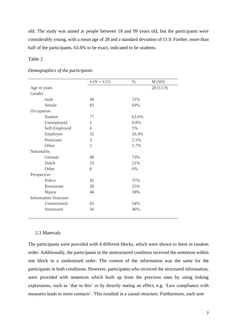old. The study was aimed at people between 18 and 99 years old, but the participants were considerably young, with a mean age of 28 and a standard deviation of 11.9. Further, more than half of the participants, 63.6% to be exact, indicated to be students.

### Table 2

|                              |               | $n (N = 121)$  | $\%$  | M(SD)    |
|------------------------------|---------------|----------------|-------|----------|
| Age in years                 |               |                |       | 28(11.9) |
| Gender                       |               |                |       |          |
| male                         |               | 38             | 31%   |          |
|                              | female        | 83             | 69%   |          |
| Occupation                   |               |                |       |          |
|                              | Student       | 77             | 63.6% |          |
|                              | Unemployed    | 1              | 0.8%  |          |
|                              | Self-Employed | 6              | 5%    |          |
|                              | Employee      | 32             | 26.4% |          |
|                              | Pensioner     | 3              | 2.5%  |          |
| Other                        |               | $\overline{2}$ | 1.7%  |          |
| Nationality                  |               |                |       |          |
|                              | German        | 88             | 73%   |          |
|                              | Dutch         | 25             | 21%   |          |
| Other                        |               | 8              | 6%    |          |
| Perspective                  |               |                |       |          |
|                              | Police        | 45             | 37%   |          |
|                              | Restaurant    | 30             | 25%   |          |
|                              | Mayor         | 46             | 38%   |          |
| <b>Information Structure</b> |               |                |       |          |
|                              | Unstructured  | 65             | 54%   |          |
|                              | Structured    | 56             | 46%   |          |
|                              |               |                |       |          |

#### *Demographics of the participants*

#### 2.3 Materials

The participants were provided with 4 different blocks, which were shown to them in random order. Additionally, the participants in the unstructured condition received the sentences within one block in a randomised order. The content of the information was the same for the participants in both conditions. However, participants who received the structured information, were provided with sentences which built up from the previous ones by using linking expressions, such as 'due to this' or by directly stating an effect, e.g. 'Less compliance with measures leads to more contacts'. This resulted in a causal structure. Furthermore, each sent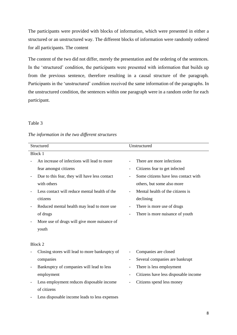The participants were provided with blocks of information, which were presented in either a structured or an unstructured way. The different blocks of information were randomly ordered for all participants. The content

The content of the two did not differ, merely the presentation and the ordering of the sentences. In the 'structured' condition, the participants were presented with information that builds up from the previous sentence, therefore resulting in a causal structure of the paragraph. Participants in the 'unstructured' condition received the same information of the paragraphs. In the unstructured condition, the sentences within one paragraph were in a random order for each participant.

#### Table 3

| Structured |                                                |                          | Unstructured                         |  |  |
|------------|------------------------------------------------|--------------------------|--------------------------------------|--|--|
|            | <b>Block 1</b>                                 |                          |                                      |  |  |
|            | An increase of infections will lead to more    |                          | There are more infections            |  |  |
|            | fear amongst citizens                          | $\overline{\phantom{0}}$ | Citizens fear to get infected        |  |  |
|            | Due to this fear, they will have less contact  |                          | Some citizens have less contact with |  |  |
|            | with others                                    |                          | others, but some also more           |  |  |
|            | Less contact will reduce mental health of the  |                          | Mental health of the citizens is     |  |  |
|            | citizens                                       |                          | declining                            |  |  |
|            | Reduced mental health may lead to more use     |                          | There is more use of drugs           |  |  |
|            | of drugs                                       |                          | There is more nuisance of youth      |  |  |
|            | More use of drugs will give more nuisance of   |                          |                                      |  |  |
|            | youth                                          |                          |                                      |  |  |
|            |                                                |                          |                                      |  |  |
|            | Block 2                                        |                          |                                      |  |  |
|            | Closing stores will lead to more bankruptcy of |                          | Companies are closed                 |  |  |
|            | companies                                      |                          | Several companies are bankrupt       |  |  |
|            | Bankruptcy of companies will lead to less      |                          | There is less employment             |  |  |
|            | employment                                     |                          | Citizens have less disposable income |  |  |
|            | Less employment reduces disposable income      |                          | Citizens spend less money            |  |  |
|            | of citizens                                    |                          |                                      |  |  |
|            | Less disposable income leads to less expenses  |                          |                                      |  |  |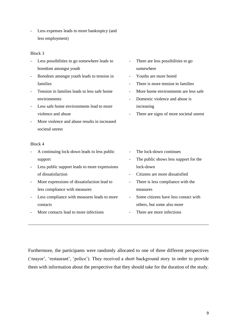- Less expenses leads to more bankruptcy (and less employment)

#### Block 3

|                          | Less possibilities to go somewhere leads to   |                          | There are less possibilities to go      |
|--------------------------|-----------------------------------------------|--------------------------|-----------------------------------------|
|                          | boredom amongst youth                         |                          | somewhere                               |
| $\overline{\phantom{0}}$ | Boredom amongst youth leads to tension in     | $\overline{\phantom{a}}$ | Youths are more bored                   |
|                          | families                                      |                          | There is more tension in families       |
| $\overline{a}$           | Tension in families leads to less safe home   | $\overline{\phantom{0}}$ | More home environments are less safe    |
|                          | environments                                  | $\overline{\phantom{a}}$ | Domestic violence and abuse is          |
| $\overline{a}$           | Less safe home environments lead to more      |                          | increasing                              |
|                          | violence and abuse                            |                          | There are signs of more societal unrest |
|                          | More violence and abuse results in increased  |                          |                                         |
|                          | societal unrest                               |                          |                                         |
|                          |                                               |                          |                                         |
|                          | Block 4                                       |                          |                                         |
|                          | A continuing lock-down leads to less public   |                          | The lock-down continues                 |
|                          | support                                       |                          | The public shows less support for the   |
|                          | Less public support leads to more expressions |                          | lock-down                               |
|                          | of dissatisfaction                            |                          | Citizens are more dissatisfied          |
| $\overline{\phantom{0}}$ | More expressions of dissatisfaction lead to   |                          | There is less compliance with the       |
|                          | less compliance with measures                 |                          | measures                                |
|                          |                                               |                          |                                         |
|                          | Less compliance with measures leads to more   |                          | Some citizens have less contact with    |
|                          | contacts                                      |                          | others, but some also more              |
|                          | More contacts lead to more infections         |                          | There are more infections               |

Furthermore, the participants were randomly allocated to one of three different perspectives ('mayor', 'restaurant', 'police'). They received a short background story in order to provide them with information about the perspective that they should take for the duration of the study.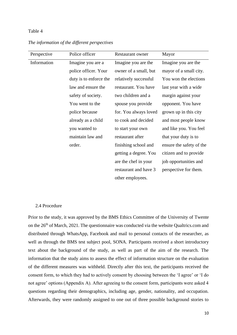#### Table 4

| Perspective | Police officer         | <b>Restaurant owner</b> | Mayor                    |
|-------------|------------------------|-------------------------|--------------------------|
| Information | Imagine you are a      | Imagine you are the     | Imagine you are the      |
|             | police officer. Your   | owner of a small, but   | mayor of a small city.   |
|             | duty is to enforce the | relatively successful   | You won the elections    |
|             | law and ensure the     | restaurant. You have    | last year with a wide    |
|             | safety of society.     | two children and a      | margin against your      |
|             | You went to the        | spouse you provide      | opponent. You have       |
|             | police because         | for. You always loved   | grown up in this city    |
|             | already as a child     | to cook and decided     | and most people know     |
|             | you wanted to          | to start your own       | and like you. You feel   |
|             | maintain law and       | restaurant after        | that your duty is to     |
|             | order.                 | finishing school and    | ensure the safety of the |
|             |                        | getting a degree. You   | citizen and to provide   |
|             |                        | are the chef in your    | job opportunities and    |
|             |                        | restaurant and have 3   | perspective for them.    |
|             |                        | other employees.        |                          |

*The information of the different perspectives*

#### 2.4 Procedure

Prior to the study, it was approved by the BMS Ethics Committee of the University of Twente on the 26<sup>th</sup> of March, 2021. The questionnaire was conducted via the website Qualtrics.com and distributed through WhatsApp, Facebook and mail to personal contacts of the researcher, as well as through the BMS test subject pool, SONA. Participants received a short introductory text about the background of the study, as well as part of the aim of the research. The information that the study aims to assess the effect of information structure on the evaluation of the different measures was withheld. Directly after this text, the participants received the consent form, to which they had to actively consent by choosing between the 'I agree' or 'I do not agree' options (Appendix A). After agreeing to the consent form, participants were asked 4 questions regarding their demographics, including age, gender, nationality, and occupation. Afterwards, they were randomly assigned to one out of three possible background stories to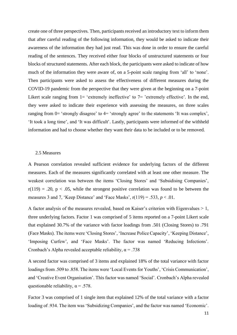create one of three perspectives. Then, participants received an introductory text to inform them that after careful reading of the following information, they would be asked to indicate their awareness of the information they had just read. This was done in order to ensure the careful reading of the sentences. They received either four blocks of unstructured statements or four blocks of structured statements. After each block, the participants were asked to indicate of how much of the information they were aware of, on a 5-point scale ranging from 'all' to 'none'. Then participants were asked to assess the effectiveness of different measures during the COVID-19 pandemic from the perspective that they were given at the beginning on a 7-point Likert scale ranging from  $1=$  'extremely ineffective' to  $7=$  'extremely effective'. In the end, they were asked to indicate their experience with assessing the measures, on three scales ranging from 0= 'strongly disagree' to 4= 'strongly agree' to the statements 'It was complex', 'It took a long time', and 'It was difficult'. Lastly, participants were informed of the withheld information and had to choose whether they want their data to be included or to be removed.

#### 2.5 Measures

A Pearson correlation revealed sufficient evidence for underlying factors of the different measures. Each of the measures significantly correlated with at least one other measure. The weakest correlation was between the items 'Closing Stores' and 'Subsidising Companies',  $r(119) = .20$ ,  $p < .05$ , while the strongest positive correlation was found to be between the measures 3 and 7, 'Keep Distance' and 'Face Masks',  $r(119) = .533$ ,  $p < .01$ .

A factor analysis of the measures revealed, based on Kaiser's criterion with Eigenvalues  $> 1$ , three underlying factors. Factor 1 was comprised of 5 items reported on a 7-point Likert scale that explained 30.7% of the variance with factor loadings from .501 (Closing Stores) to .791 (Face Masks). The items were 'Closing Stores', 'Increase Police Capacity', 'Keeping Distance', 'Imposing Curfew', and 'Face Masks'. The factor was named 'Reducing Infections'. Cronbach's Alpha revealed acceptable reliability,  $\alpha = .738$ 

A second factor was comprised of 3 items and explained 18% of the total variance with factor loadings from .509 to .858. The items were 'Local Events for Youths', 'Crisis Communication', and 'Creative Event Organisation'. This factor was named 'Social'. Cronbach's Alpha revealed questionable reliability,  $\alpha = .578$ .

Factor 3 was comprised of 1 single item that explained 12% of the total variance with a factor loading of .934. The item was 'Subsidizing Companies', and the factor was named 'Economic'.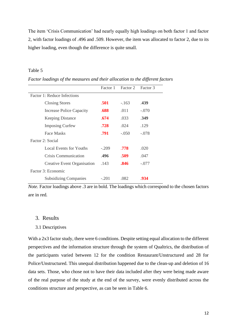The item 'Crisis Communication' had nearly equally high loadings on both factor 1 and factor 2, with factor loadings of .496 and .509. However, the item was allocated to factor 2, due to its higher loading, even though the difference is quite small.

#### Table 5

|                                    | Factor 1 | Factor 2 | Factor 3 |
|------------------------------------|----------|----------|----------|
| Factor 1: Reduce Infections        |          |          |          |
| <b>Closing Stores</b>              | .501     | $-163$   | .439     |
| <b>Increase Police Capacity</b>    | .688     | .011     | $-.070$  |
| <b>Keeping Distance</b>            | .674     | .033     | .349     |
| <b>Imposing Curfew</b>             | .728     | .024     | .129     |
| <b>Face Masks</b>                  | .791     | $-.050$  | $-.078$  |
| Factor 2: Social                   |          |          |          |
| Local Events for Youths            | $-.209$  | .778     | .020     |
| Crisis Communication               | .496     | .509     | .047     |
| <b>Creative Event Organisation</b> | .143     | .846     | $-.077$  |
| Factor 3: Economic                 |          |          |          |
| <b>Subsidizing Companies</b>       | $-.201$  | .082     | -934     |

*Factor loadings of the measures and their allocation to the different factors*

*Note.* Factor loadings above .3 are in bold. The loadings which correspond to the chosen factors are in red.

#### 3. Results

#### 3.1 Descriptives

With a 2x3 factor study, there were 6 conditions. Despite setting equal allocation to the different perspectives and the information structure through the system of Qualtrics, the distribution of the participants varied between 12 for the condition Restaurant/Unstructured and 28 for Police/Unstructured. This unequal distribution happened due to the clean-up and deletion of 16 data sets. Those, who chose not to have their data included after they were being made aware of the real purpose of the study at the end of the survey, were evenly distributed across the conditions structure and perspective, as can be seen in Table 6.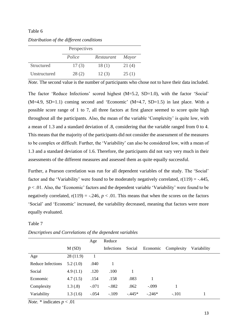#### Table 6

|              | Perspectives |            |              |
|--------------|--------------|------------|--------------|
|              | Police       | Restaurant | <i>Mayor</i> |
| Structured   | 17(3)        | 18(1)      | 21(4)        |
| Unstructured | 28(2)        | 12(3)      | 25(1)        |

*Distribution of the different conditions*

*Note.* The second value is the number of participants who chose not to have their data included.

The factor 'Reduce Infections' scored highest (M=5.2, SD=1.0), with the factor 'Social'  $(M=4.9, SD=1.1)$  coming second and 'Economic'  $(M=4.7, SD=1.5)$  in last place. With a possible score range of 1 to 7, all three factors at first glance seemed to score quite high throughout all the participants. Also, the mean of the variable 'Complexity' is quite low, with a mean of 1.3 and a standard deviation of .8, considering that the variable ranged from 0 to 4. This means that the majority of the participants did not consider the assessment of the measures to be complex or difficult. Further, the 'Variability' can also be considered low, with a mean of 1.3 and a standard deviation of 1.6. Therefore, the participants did not vary very much in their assessments of the different measures and assessed them as quite equally successful.

Further, a Pearson correlation was run for all dependent variables of the study. The 'Social' factor and the 'Variability' were found to be moderately negatively correlated,  $r(119) = -.445$ , *p* < .01. Also, the 'Economic' factors and the dependent variable 'Variability' were found to be negatively correlated,  $r(119) = -.246$ ,  $p < .01$ . This means that when the scores on the factors 'Social' and 'Economic' increased, the variability decreased, meaning that factors were more equally evaluated.

#### Table 7

|                   |          | Age     | Reduce     |         |          |            |             |
|-------------------|----------|---------|------------|---------|----------|------------|-------------|
|                   | M(SD)    |         | Infections | Social  | Economic | Complexity | Variability |
| Age               | 28(11.9) |         |            |         |          |            |             |
| Reduce Infections | 5.2(1.0) | .040    |            |         |          |            |             |
| Social            | 4.9(1.1) | .120    | .100       | 1       |          |            |             |
| Economic          | 4.7(1.5) | .154    | .158       | .083    | 1        |            |             |
| Complexity        | 1.3(0.8) | $-.071$ | $-.082$    | .062    | $-.099$  | 1          |             |
| Variability       | 1.3(1.6) | $-.054$ | $-.109$    | $-445*$ | $-.246*$ | $-.101$    |             |

*Descriptives and Correlations of the dependent variables*

*Note.*  $*$  indicates  $p < .01$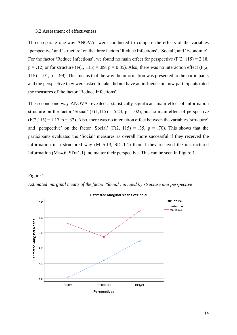#### 3.2 Assessment of effectiveness

Three separate one-way ANOVAs were conducted to compare the effects of the variables 'perspective' and 'structure' on the three factors 'Reduce Infections', 'Social', and 'Economic'. For the factor 'Reduce Infections', we found no main effect for perspective  $(F(2, 115) = 2.18$ ,  $p = .12$ ) or for structure (F(1, 115) = .89,  $p = 0.35$ ). Also, there was no interaction effect (F(2,  $115$ ) = .01, p = .99). This means that the way the information was presented to the participants and the perspective they were asked to take did not have an influence on how participants rated the measures of the factor 'Reduce Infections'.

The second one-way ANOVA revealed a statistically significant main effect of information structure on the factor 'Social'  $(F(1,115) = 5.23, p = .02)$ , but no main effect of perspective  $(F(2,115) = 1.17, p = .32)$ . Also, there was no interaction effect between the variables 'structure' and 'perspective' on the factor 'Social'  $(F(2, 115) = .35, p = .70)$ . This shows that the participants evaluated the 'Social' measures as overall more successful if they received the information in a structured way  $(M=5.13, SD=1.1)$  than if they received the unstructured information (M=4.6, SD=1.1), no matter their perspective. This can be seen in Figure 1.

#### Figure 1



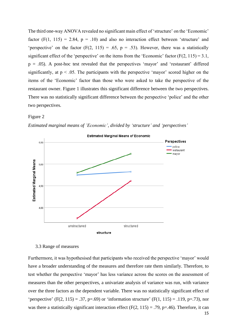The third one-way ANOVA revealed no significant main effect of 'structure' on the 'Economic' factor  $(F(1, 115) = 2.84, p = .10)$  and also no interaction effect between 'structure' and 'perspective' on the factor  $(F(2, 115) = .65, p = .53)$ . However, there was a statistically significant effect of the 'perspective' on the items from the 'Economic' factor  $(F(2, 115) = 3.1$ ,  $p = .05$ ). A post-hoc test revealed that the perspectives 'mayor' and 'restaurant' differed significantly, at  $p < 0.05$ . The participants with the perspective 'mayor' scored higher on the items of the 'Economic' factor than those who were asked to take the perspective of the restaurant owner. Figure 1 illustrates this significant difference between the two perspectives. There was no statistically significant difference between the perspective 'police' and the other two perspectives.

#### Figure 2



*Estimated marginal means of 'Economic', divided by 'structure' and 'perspectives'*

#### 3.3 Range of measures

15 Furthermore, it was hypothesised that participants who received the perspective 'mayor' would have a broader understanding of the measures and therefore rate them similarly. Therefore, to test whether the perspective 'mayor' has less variance across the scores on the assessment of measures than the other perspectives, a univariate analysis of variance was run, with variance over the three factors as the dependent variable. There was no statistically significant effect of 'perspective' (F(2, 115) = .37, p=.69) or 'information structure' (F(1, 115) = .119, p=.73), nor was there a statistically significant interaction effect  $(F(2, 115) = .79, p=.46)$ . Therefore, it can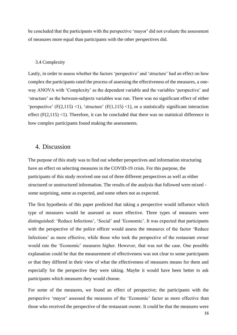be concluded that the participants with the perspective 'mayor' did not evaluate the assessment of measures more equal than participants with the other perspectives did.

#### 3.4 Complexity

Lastly, in order to assess whether the factors 'perspective' and 'structure' had an effect on how complex the participants rated the process of assessing the effectiveness of the measures, a oneway ANOVA with 'Complexity' as the dependent variable and the variables 'perspective' and 'structure' as the between-subjects variables was run. There was no significant effect of either 'perspective'  $(F(2, 115) < 1)$ , 'structure'  $(F(1, 115) < 1)$ , or a statistically significant interaction effect  $(F(2,115)$  <1). Therefore, it can be concluded that there was no statistical difference in how complex participants found making the assessments.

## 4. Discussion

The purpose of this study was to find out whether perspectives and information structuring have an effect on selecting measures in the COVID-19 crisis. For this purpose, the participants of this study received one out of three different perspectives as well as either structured or unstructured information. The results of the analysis that followed were mixed some surprising, some as expected, and some others not as expected.

The first hypothesis of this paper predicted that taking a perspective would influence which type of measures would be assessed as more effective. Three types of measures were distinguished: 'Reduce Infections', 'Social' and 'Economic'. It was expected that participants with the perspective of the police officer would assess the measures of the factor 'Reduce Infections' as more effective, while those who took the perspective of the restaurant owner would rate the 'Economic' measures higher. However, that was not the case. One possible explanation could be that the measurement of effectiveness was not clear to some participants or that they differed in their view of what the effectiveness of measures means for them and especially for the perspective they were taking. Maybe it would have been better to ask participants which measures they would choose.

For some of the measures, we found an effect of perspective; the participants with the perspective 'mayor' assessed the measures of the 'Economic' factor as more effective than those who received the perspective of the restaurant owner. It could be that the measures were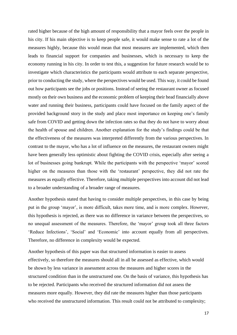rated higher because of the high amount of responsibility that a mayor feels over the people in his city. If his main objective is to keep people safe, it would make sense to rate a lot of the measures highly, because this would mean that most measures are implemented, which then leads to financial support for companies and businesses, which is necessary to keep the economy running in his city. In order to test this, a suggestion for future research would be to investigate which characteristics the participants would attribute to each separate perspective, prior to conducting the study, where the perspectives would be used. This way, it could be found out how participants see the jobs or positions. Instead of seeing the restaurant owner as focused mostly on their own business and the economic problem of keeping their head financially above water and running their business, participants could have focused on the family aspect of the provided background story in the study and place most importance on keeping one's family safe from COVID and getting down the infection rates so that they do not have to worry about the health of spouse and children. Another explanation for the study's findings could be that the effectiveness of the measures was interpreted differently from the various perspectives. In contrast to the mayor, who has a lot of influence on the measures, the restaurant owners might have been generally less optimistic about fighting the COVID crisis, especially after seeing a lot of businesses going bankrupt. While the participants with the perspective 'mayor' scored higher on the measures than those with the 'restaurant' perspective, they did not rate the measures as equally effective. Therefore, taking multiple perspectives into account did not lead to a broader understanding of a broader range of measures.

Another hypothesis stated that having to consider multiple perspectives, in this case by being put in the group 'mayor', is more difficult, takes more time, and is more complex. However, this hypothesis is rejected, as there was no difference in variance between the perspectives, so no unequal assessment of the measures. Therefore, the 'mayor' group took all three factors 'Reduce Infections', 'Social' and 'Economic' into account equally from all perspectives. Therefore, no difference in complexity would be expected.

Another hypothesis of this paper was that structured information is easier to assess effectively, so therefore the measures should all in all be assessed as effective, which would be shown by less variance in assessment across the measures and higher scores in the structured condition than in the unstructured one. On the basis of variance, this hypothesis has to be rejected. Participants who received the structured information did not assess the measures more equally. However, they did rate the measures higher than those participants who received the unstructured information. This result could not be attributed to complexity;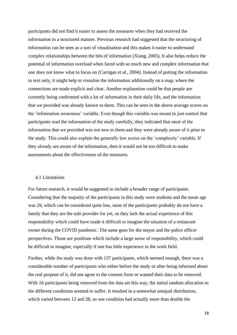participants did not find it easier to assess the measures when they had received the information in a structured manner. Previous research had suggested that the structuring of information can be seen as a sort of visualisation and this makes it easier to understand complex relationships between the bits of information (Xiang, 2005). It also helps reduce the potential of information overload when faced with so much new and complex information that one does not know what to focus on (Carrigan et al., 2004). Instead of putting the information in text only, it might help to visualise the information additionally on a map, where the connections are made explicit and clear. Another explanation could be that people are currently being confronted with a lot of information in their daily life, and the information that we provided was already known to them. This can be seen in the above average scores on the 'information awareness' variable. Even though this variable was meant to just control that participants read the information of the study carefully, they indicated that most of the information that we provided was not new to them and they were already aware of it prior to the study. This could also explain the generally low scores on the 'complexity' variable. If they already are aware of the information, then it would not be too difficult to make assessments about the effectiveness of the measures.

#### 4.1 Limitations

For future research, it would be suggested to include a broader range of participants. Considering that the majority of the participants in this study were students and the mean age was 29, which can be considered quite low, most of the participants probably do not have a family that they are the sole provider for yet, so they lack the actual experience of this responsibility which could have made it difficult to imagine the situation of a restaurant owner during the COVID pandemic. The same goes for the mayor and the police officer perspectives. Those are positions which include a large sense of responsibility, which could be difficult to imagine, especially if one has little experience in the work field.

Further, while the study was done with 137 participants, which seemed enough, there was a considerable number of participants who either before the study or after being informed about the real purpose of it, did not agree to the consent form or wanted their data to be removed. With 16 participants being removed from the data set this way, the initial random allocation to the different conditions seemed to suffer. It resulted in a somewhat unequal distribution, which varied between 12 and 28, so one condition had actually more than double the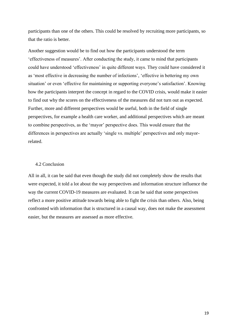participants than one of the others. This could be resolved by recruiting more participants, so that the ratio is better.

Another suggestion would be to find out how the participants understood the term 'effectiveness of measures'. After conducting the study, it came to mind that participants could have understood 'effectiveness' in quite different ways. They could have considered it as 'most effective in decreasing the number of infections', 'effective in bettering my own situation' or even 'effective for maintaining or supporting everyone's satisfaction'. Knowing how the participants interpret the concept in regard to the COVID crisis, would make it easier to find out why the scores on the effectiveness of the measures did not turn out as expected. Further, more and different perspectives would be useful, both in the field of single perspectives, for example a health care worker, and additional perspectives which are meant to combine perspectives, as the 'mayor' perspective does. This would ensure that the differences in perspectives are actually 'single vs. multiple' perspectives and only mayorrelated.

#### 4.2 Conclusion

All in all, it can be said that even though the study did not completely show the results that were expected, it told a lot about the way perspectives and information structure influence the way the current COVID-19 measures are evaluated. It can be said that some perspectives reflect a more positive attitude towards being able to fight the crisis than others. Also, being confronted with information that is structured in a causal way, does not make the assessment easier, but the measures are assessed as more effective.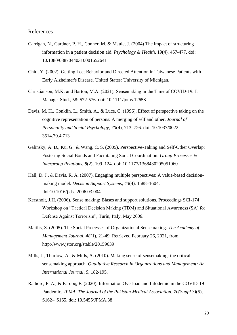#### References

- Carrigan, N., Gardner, P. H., Conner, M. & Maule, J. (2004) The impact of structuring information in a patient decision aid. *Psychology & Health*, 19(4), 457-477, doi: 10.1080/08870440310001652641
- Chiu, Y. (2002). Getting Lost Behavior and Directed Attention in Taiwanese Patients with Early Alzheimer's Disease. United States: University of Michigan.
- Christianson, M.K. and Barton, M.A. (2021), Sensemaking in the Time of COVID‐19. J. Manage. Stud., 58: 572-576. doi: 10.1111/joms.12658
- Davis, M. H., Conklin, L., Smith, A., & Luce, C. (1996). Effect of perspective taking on the cognitive representation of persons: A merging of self and other*. Journal of Personality and Social Psychology, 70*(4), 713–726. doi: 10.1037/0022- 3514.70.4.713
- Galinsky, A. D., Ku, G., & Wang, C. S. (2005). Perspective-Taking and Self-Other Overlap: Fostering Social Bonds and Facilitating Social Coordination. *Group Processes & Intergroup Relations, 8*(2), 109–124. doi: 10.1177/1368430205051060
- Hall, D. J., & Davis, R. A. (2007). Engaging multiple perspectives: A value-based decisionmaking model. *Decision Support Systems*, *43*(4), 1588–1604. doi:10.1016/j.dss.2006.03.004
- Kerstholt, J.H. (2006). Sense making: Biases and support solutions. Proceedings SCI-174 Workshop on "Tactical Decision Making (TDM) and Situational Awareness (SA) for Defense Against Terrorism", Turin, Italy, May 2006.
- Maitlis, S. (2005). The Social Processes of Organizational Sensemaking. *The Academy of Management Journal, 48*(1), 21-49. Retrieved February 26, 2021, from http://www.jstor.org/stable/20159639
- Mills, J., Thurlow, A., & Mills, A. (2010). Making sense of sensemaking: the critical sensemaking approach. *Qualitative Research in Organizations and Management: An International Journal*, *5,* 182-195.
- Rathore, F. A., & Farooq, F. (2020). Information Overload and Infodemic in the COVID-19 Pandemic. *JPMA. The Journal of the Pakistan Medical Association*, *70(Suppl 3)*(5), S162– S165. doi: 10.5455/JPMA.38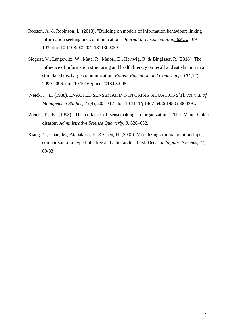- Robson, A. & Robinson, L. (2013), "Building on models of information behaviour: linking information seeking and communication", *Journal of Documentation, 69(2),* 169- 193. doi: 10.1108/00220411311300039
- Siegrist, V., Langewitz, W., Mata, R., Maiori, D., Hertwig, R. & Bingisser, R. (2018). The influence of information structuring and health literacy on recall and satisfaction in a stimulated discharge communication. *Patient Education and Counseling, 101*(12), 2090-2096. doi: 10.1016./j.pec.2018.08.008
- Weick, K. E. (1988). ENACTED SENSEMAKING IN CRISIS SITUATIONS[1]. *Journal of Management Studies*, *25*(4), 305–317. doi: 10.1111/j.1467-6486.1988.tb00039.x
- Weick, K. E. (1993). The collapse of sensemaking in organizations: The Mann Gulch disaster. *Administrative Science Quarterly, 3*, 628–652.
- Xiang, Y., Chau, M., Atabakhsk, H. & Chen, H. (2005). Visualizing criminal relationships: comparison of a hyperbolic tree and a hierarchical list. *Decision Support Systems, 41*, 69-83.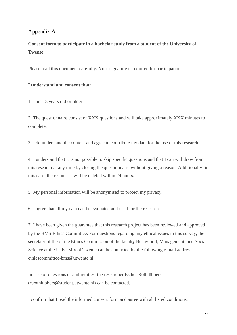# Appendix A

# **Consent form to participate in a bachelor study from a student of the University of Twente**

Please read this document carefully. Your signature is required for participation.

#### **I understand and consent that:**

1. I am 18 years old or older.

2. The questionnaire consist of XXX questions and will take approximately XXX minutes to complete.

3. I do understand the content and agree to contribute my data for the use of this research.

4. I understand that it is not possible to skip specific questions and that I can withdraw from this research at any time by closing the questionnaire without giving a reason. Additionally, in this case, the responses will be deleted within 24 hours.

5. My personal information will be anonymised to protect my privacy.

6. I agree that all my data can be evaluated and used for the research.

7. I have been given the guarantee that this research project has been reviewed and approved by the BMS Ethics Committee. For questions regarding any ethical issues in this survey, the secretary of the of the Ethics Commission of the faculty Behavioral, Management, and Social Science at the University of Twente can be contacted by the following e-mail address: ethicscommittee-bms@utwente.nl

In case of questions or ambiguities, the researcher Esther Rothlübbers (e.rothlubbers@student.utwente.nl) can be contacted.

I confirm that I read the informed consent form and agree with all listed conditions.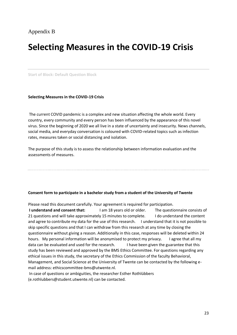# Appendix B

# **Selecting Measures in the COVID-19 Crisis**

**Start of Block: Default Question Block**

**Selecting Measures in the COVID-19 Crisis**

The current COVID pandemic is a complex and new situation affecting the whole world. Every country, every community and every person has been influenced by the appearance of this novel virus. Since the beginning of 2020 we all live in a state of uncertainty and insecurity. News channels, social media, and everyday conversation is coloured with COVID-related topics such as infection rates, measures taken or social distancing and isolation.

The purpose of this study is to assess the relationship between information evaluation and the assessments of measures.

#### **Consent form to participate in a bachelor study from a student of the University of Twente**

Please read this document carefully. Your agreement is required for participation.

**I understand and consent that:** I am 18 years old or older. The questionnaire consists of 21 questions and will take approximately 15 minutes to complete. I do understand the content and agree to contribute my data for the use of this research. I understand that it is not possible to skip specific questions and that I can withdraw from this research at any time by closing the questionnaire without giving a reason. Additionally in this case, responses will be deleted within 24 hours. My personal information will be anonymised to protect my privacy. I agree that all my data can be evaluated and used for the research. I have been given the guarantee that this study has been reviewed and approved by the BMS Ethics Committee. For questions regarding any ethical issues in this study, the secretary of the Ethics Commission of the faculty Behavioral, Management, and Social Science at the University of Twente can be contacted by the following email address: ethicscommittee-bms@utwente.nl.

In case of questions or ambiguities, the researcher Esther Rothlübbers (e.rothlubbers@student.utwente.nl) can be contacted.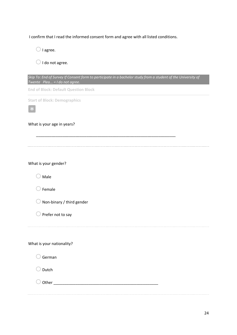I confirm that I read the informed consent form and agree with all listed conditions.

 $\bigcirc$  I agree.

 $\bigcirc$  I do not agree.

| Skip To: End of Survey If Consent form to participate in a bachelor study from a student of the University of<br>Twente Plea = I do not agree. |
|------------------------------------------------------------------------------------------------------------------------------------------------|
| <b>End of Block: Default Question Block</b>                                                                                                    |
| <b>Start of Block: Demographics</b>                                                                                                            |
|                                                                                                                                                |
| What is your age in years?                                                                                                                     |
|                                                                                                                                                |
|                                                                                                                                                |
| What is your gender?                                                                                                                           |
| Male                                                                                                                                           |
| Female                                                                                                                                         |
| Non-binary / third gender                                                                                                                      |
| Prefer not to say                                                                                                                              |
|                                                                                                                                                |
| What is your nationality?                                                                                                                      |
| German                                                                                                                                         |
| Dutch                                                                                                                                          |
|                                                                                                                                                |
|                                                                                                                                                |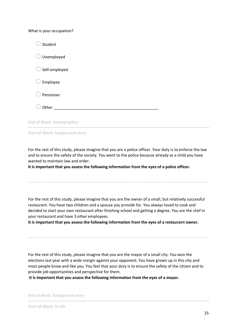What is your occupation?

| Student                           |  |
|-----------------------------------|--|
| Unemployed                        |  |
| Self-employed                     |  |
| Employee                          |  |
| Pensioner                         |  |
| Other                             |  |
| <b>End of Block: Demographics</b> |  |

**Start of Block: background story**

For the rest of this study, please imagine that you are a police officer. Your duty is to enforce the law and to ensure the safety of the society. You went to the police because already as a child you have wanted to maintain law and order.

**It is important that you assess the following information from the eyes of a police officer.**

For the rest of this study, please imagine that you are the owner of a small, but relatively successful restaurant. You have two children and a spouse you provide for. You always loved to cook and decided to start your own restaurant after finishing school and getting a degree. You are the chef in your restaurant and have 3 other employees.

**It is important that you assess the following information from the eyes of a restaurant owner.**

For the rest of this study, please imagine that you are the mayor of a small city. You won the elections last year with a wide margin against your opponent. You have grown up in this city and most people know and like you. You feel that your duty is to ensure the safety of the citizen and to provide job opportunities and perspective for them.

**It is important that you assess the following information from the eyes of a mayor.**

**End of Block: background story**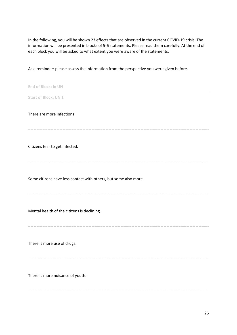In the following, you will be shown 23 effects that are observed in the current COVID-19 crisis. The information will be presented in blocks of 5-6 statements. Please read them carefully. At the end of each block you will be asked to what extent you were aware of the statements.

As a reminder: please assess the information from the perspective you were given before.

**End of Block: In UN Start of Block: UN 1** There are more infections Citizens fear to get infected. Some citizens have less contact with others, but some also more. Mental health of the citizens is declining. There is more use of drugs. There is more nuisance of youth.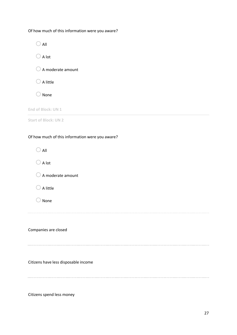Of how much of this information were you aware?

| All                                             |
|-------------------------------------------------|
| $\bigcirc$ A lot                                |
| $\bigcirc$ A moderate amount                    |
| $\bigcirc$ A little                             |
| None                                            |
| End of Block: UN 1                              |
| <b>Start of Block: UN 2</b>                     |
| Of how much of this information were you aware? |
| $\bigcirc$ all                                  |
| $\bigcirc$ A lot                                |
| $\bigcirc$ A moderate amount                    |
| A little                                        |
| None                                            |
|                                                 |
| Companies are closed                            |

Citizens have less disposable income

Citizens spend less money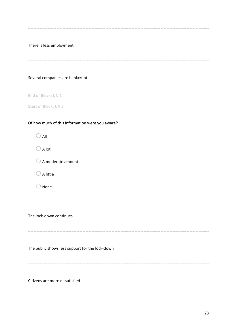There is less employment Several companies are bankcrupt **End of Block: UN 2 Start of Block: UN 3** Of how much of this information were you aware?  $O$  All  $\bigcirc$  A lot  $\bigcirc$  A moderate amount  $\bigcirc$  A little  $\bigcirc$  None The lock-down continues The public shows less support for the lock-down Citizens are more dissatisfied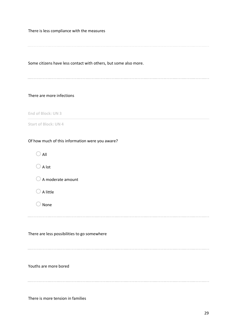There is less compliance with the measures

Some citizens have less contact with others, but some also more.

#### There are more infections

**End of Block: UN 3**

**Start of Block: UN 4**

#### Of how much of this information were you aware?

| All                                          |  |
|----------------------------------------------|--|
| A lot                                        |  |
| A moderate amount                            |  |
| A little                                     |  |
| None                                         |  |
|                                              |  |
| There are less possibilities to go somewhere |  |
| Youths are more bored                        |  |
|                                              |  |

There is more tension in families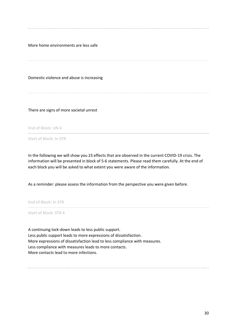More home environments are less safe

Domestic violence and abuse is increasing

There are signs of more societal unrest

**End of Block: UN 4**

**Start of Block: In STR**

In the following we will show you 23 effects that are observed in the current COVID-19 crisis. The information will be presented in block of 5-6 statements. Please read them carefully. At the end of each block you will be asked to what extent you were aware of the information.

As a reminder: please assess the information from the perspective you were given before.

**End of Block: In STR**

**Start of Block: STR 4**

A continuing lock-down leads to less public support. Less public support leads to more expressions of dissatisfaction. More expressions of dissatisfaction lead to less compliance with measures. Less compliance with measures leads to more contacts. More contacts lead to more infections.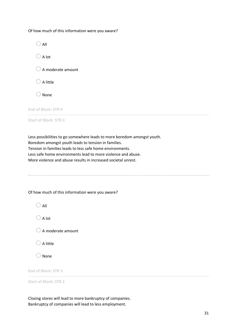Of how much of this information were you aware?



Less possibilities to go somewhere leads to more boredom amongst youth. Boredom amongst youth leads to tension in families. Tension in families leads to less safe home environments. Less safe home environments lead to more violence and abuse. More violence and abuse results in increased societal unrest.

Of how much of this information were you aware?

| All |
|-----|

 $\bigcirc$  A lot

 $\bigcirc$  A moderate amount

 $\bigcirc$  A little

 $\bigcirc$  None

**End of Block: STR 3**

**Start of Block: STR 2**

Closing stores will lead to more bankruptcy of companies. Bankruptcy of companies will lead to less employment.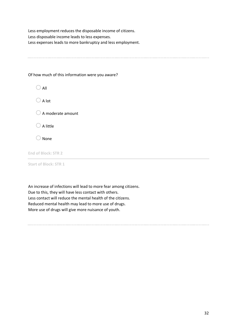Less employment reduces the disposable income of citizens. Less disposable income leads to less expenses. Less expenses leads to more bankruptcy and less employment.

Of how much of this information were you aware?

 $\bigcirc$  All  $\bigcirc$  A lot  $\bigcirc$  A moderate amount  $\bigcirc$  A little  $\bigcirc$  None

**End of Block: STR 2**

**Start of Block: STR 1**

An increase of infections will lead to more fear among citizens. Due to this, they will have less contact with others. Less contact will reduce the mental health of the citizens. Reduced mental health may lead to more use of drugs. More use of drugs will give more nuisance of youth.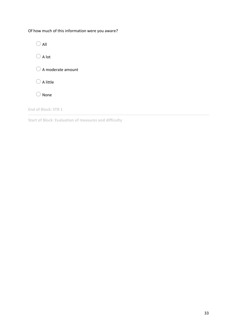Of how much of this information were you aware?



**End of Block: STR 1**

**Start of Block: Evaluation of measures and difficulty**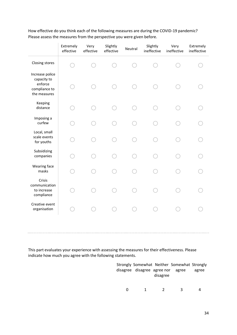|                                                                            | Extremely<br>effective | Very<br>effective | Slightly<br>effective | Neutral | Slightly<br>ineffective | Very<br>ineffective | Extremely<br>ineffective |
|----------------------------------------------------------------------------|------------------------|-------------------|-----------------------|---------|-------------------------|---------------------|--------------------------|
| Closing stores                                                             |                        |                   |                       |         |                         |                     |                          |
| Increase police<br>capacity to<br>enforce<br>compliance to<br>the measures |                        |                   |                       |         |                         |                     |                          |
| Keeping<br>distance                                                        |                        |                   |                       |         |                         |                     |                          |
| Imposing a<br>curfew                                                       |                        |                   |                       |         |                         |                     |                          |
| Local, small<br>scale events<br>for youths                                 |                        |                   |                       |         |                         |                     |                          |
| Subsidizing<br>companies                                                   |                        |                   |                       |         |                         |                     |                          |
| Wearing face<br>masks                                                      |                        |                   |                       |         |                         |                     |                          |
| Crisis<br>communication<br>to increase<br>compliance                       |                        |                   |                       |         |                         |                     |                          |
| Creative event<br>organisation                                             |                        |                   |                       |         |                         |                     |                          |
|                                                                            |                        |                   |                       |         |                         |                     |                          |

How effective do you think each of the following measures are during the COVID-19 pandemic? Please assess the measures from the perspective you were given before.

This part evaluates your experience with assessing the measures for their effectiveness. Please indicate how much you agree with the following statements.

|   |                                   |               | Strongly Somewhat Neither Somewhat Strongly |       |
|---|-----------------------------------|---------------|---------------------------------------------|-------|
|   | disagree disagree agree nor agree |               |                                             | agree |
|   |                                   | disagree      |                                             |       |
| ŋ | 1.                                | $\mathcal{L}$ | ર                                           |       |
|   |                                   |               |                                             |       |